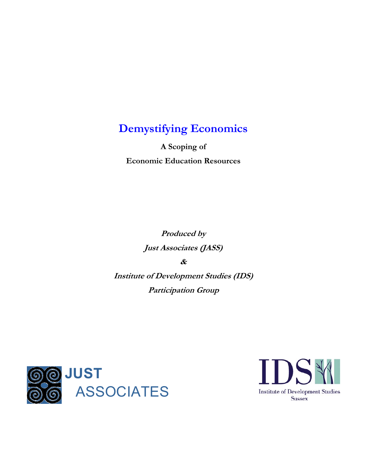# **Demystifying Economics**

**A Scoping of Economic Education Resources** 

**Produced by Just Associates (JASS) &** 

**Institute of Development Studies (IDS) Participation Group** 



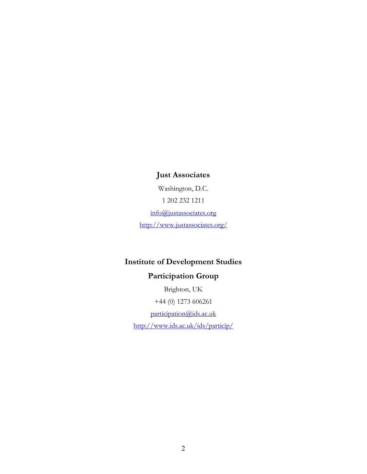## **Just Associates**

Washington, D.C. 1 202 232 1211

info@justassociates.org

http://www.justassociates.org/

# **Institute of Development Studies**

## **Participation Group**

Brighton, UK +44 (0) 1273 606261

participation@ids.ac.uk

http://www.ids.ac.uk/ids/particip/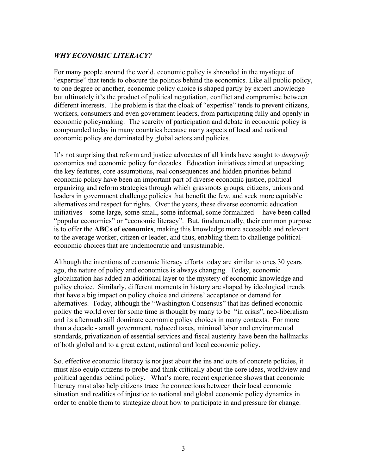## *WHY ECONOMIC LITERACY?*

For many people around the world, economic policy is shrouded in the mystique of "expertise" that tends to obscure the politics behind the economics. Like all public policy, to one degree or another, economic policy choice is shaped partly by expert knowledge but ultimately it's the product of political negotiation, conflict and compromise between different interests. The problem is that the cloak of "expertise" tends to prevent citizens, workers, consumers and even government leaders, from participating fully and openly in economic policymaking. The scarcity of participation and debate in economic policy is compounded today in many countries because many aspects of local and national economic policy are dominated by global actors and policies.

It's not surprising that reform and justice advocates of all kinds have sought to *demystify* economics and economic policy for decades. Education initiatives aimed at unpacking the key features, core assumptions, real consequences and hidden priorities behind economic policy have been an important part of diverse economic justice, political organizing and reform strategies through which grassroots groups, citizens, unions and leaders in government challenge policies that benefit the few, and seek more equitable alternatives and respect for rights. Over the years, these diverse economic education initiatives – some large, some small, some informal, some formalized -- have been called "popular economics" or "economic literacy". But, fundamentally, their common purpose is to offer the **ABCs of economics**, making this knowledge more accessible and relevant to the average worker, citizen or leader, and thus, enabling them to challenge politicaleconomic choices that are undemocratic and unsustainable.

Although the intentions of economic literacy efforts today are similar to ones 30 years ago, the nature of policy and economics is always changing. Today, economic globalization has added an additional layer to the mystery of economic knowledge and policy choice. Similarly, different moments in history are shaped by ideological trends that have a big impact on policy choice and citizens' acceptance or demand for alternatives. Today, although the "Washington Consensus" that has defined economic policy the world over for some time is thought by many to be "in crisis", neo-liberalism and its aftermath still dominate economic policy choices in many contexts. For more than a decade - small government, reduced taxes, minimal labor and environmental standards, privatization of essential services and fiscal austerity have been the hallmarks of both global and to a great extent, national and local economic policy.

So, effective economic literacy is not just about the ins and outs of concrete policies, it must also equip citizens to probe and think critically about the core ideas, worldview and political agendas behind policy. What's more, recent experience shows that economic literacy must also help citizens trace the connections between their local economic situation and realities of injustice to national and global economic policy dynamics in order to enable them to strategize about how to participate in and pressure for change.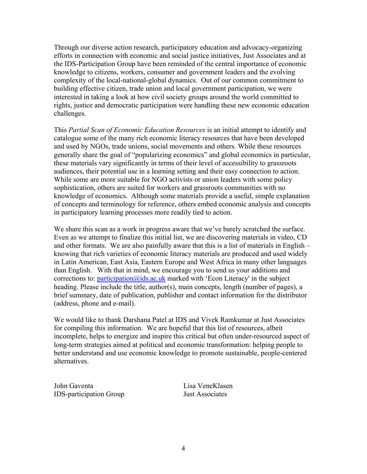Through our diverse action research, participatory education and advocacy-organizing efforts in connection with economic and social justice initiatives, Just Associates and at the IDS-Participation Group have been reminded of the central importance of economic knowledge to citizens, workers, consumer and government leaders and the evolving complexity of the local-national-global dynamics. Out of our common commitment to building effective citizen, trade union and local government participation, we were interested in taking a look at how civil society groups around the world committed to rights, justice and democratic participation were handling these new economic education challenges.

This *Partial Scan of Economic Education Resources* is an initial attempt to identify and catalogue some of the many rich economic literacy resources that have been developed and used by NGOs, trade unions, social movements and others. While these resources generally share the goal of "popularizing economics" and global economics in particular, these materials vary significantly in terms of their level of accessibility to grassroots audiences, their potential use in a learning setting and their easy connection to action. While some are more suitable for NGO activists or union leaders with some policy sophistication, others are suited for workers and grassroots communities with no knowledge of economics. Although some materials provide a useful, simple explanation of concepts and terminology for reference, others embed economic analysis and concepts in participatory learning processes more readily tied to action.

We share this scan as a work in progress aware that we've barely scratched the surface. Even as we attempt to finalize this initial list, we are discovering materials in video, CD and other formats. We are also painfully aware that this is a list of materials in English – knowing that rich varieties of economic literacy materials are produced and used widely in Latin American, East Asia, Eastern Europe and West Africa in many other languages than English. With that in mind, we encourage you to send us your additions and corrections to: *participation@ids.ac.uk* marked with 'Econ Literacy' in the subject heading. Please include the title, author(s), main concepts, length (number of pages), a brief summary, date of publication, publisher and contact information for the distributor (address, phone and e-mail).

We would like to thank Darshana Patel at IDS and Vivek Ramkumar at Just Associates for compiling this information. We are hopeful that this list of resources, albeit incomplete, helps to energize and inspire this critical but often under-resourced aspect of long-term strategies aimed at political and economic transformation: helping people to better understand and use economic knowledge to promote sustainable, people-centered alternatives.

John Gaventa Lisa VeneKlasen **IDS-participation Group Just Associates**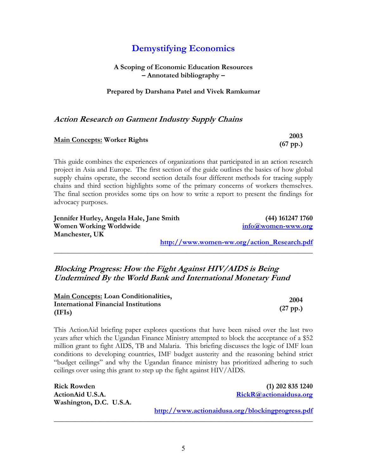# **Demystifying Economics**

#### **A Scoping of Economic Education Resources – Annotated bibliography –**

**Prepared by Darshana Patel and Vivek Ramkumar** 

## **Action Research on Garment Industry Supply Chains**

# **Main Concepts: Worker Rights <sup>2003</sup>**

This guide combines the experiences of organizations that participated in an action research project in Asia and Europe. The first section of the guide outlines the basics of how global supply chains operate, the second section details four different methods for tracing supply chains and third section highlights some of the primary concerns of workers themselves. The final section provides some tips on how to write a report to present the findings for advocacy purposes.

| Jennifer Hurley, Angela Hale, Jane Smith | $(44)$ 161247 1760                          |
|------------------------------------------|---------------------------------------------|
| Women Working Worldwide                  | info@women-www.org                          |
| Manchester, UK                           |                                             |
|                                          | http://www.women-ww.org/action Research.pdf |

 $\_$  , and the set of the set of the set of the set of the set of the set of the set of the set of the set of the set of the set of the set of the set of the set of the set of the set of the set of the set of the set of th

## **Blocking Progress: How the Fight Against HIV/AIDS is Being Undermined By the World Bank and International Monetary Fund**

| <b>Main Concepts: Loan Conditionalities,</b> | 2004               |
|----------------------------------------------|--------------------|
| International Financial Institutions         |                    |
| (IFIs)                                       | $(27 \text{ pp.})$ |

This ActionAid briefing paper explores questions that have been raised over the last two years after which the Ugandan Finance Ministry attempted to block the acceptance of a \$52 million grant to fight AIDS, TB and Malaria. This briefing discusses the logic of IMF loan conditions to developing countries, IMF budget austerity and the reasoning behind strict "budget ceilings" and why the Ugandan finance ministry has prioritized adhering to such ceilings over using this grant to step up the fight against HIV/AIDS.

| <b>Rick Rowden</b>      | $(1)$ 202 835 1240                               |
|-------------------------|--------------------------------------------------|
| ActionAid U.S.A.        | RickR@actionaidusa.org                           |
| Washington, D.C. U.S.A. |                                                  |
|                         | http://www.actionaidusa.org/blockingprogress.pdf |

\_\_\_\_\_\_\_\_\_\_\_\_\_\_\_\_\_\_\_\_\_\_\_\_\_\_\_\_\_\_\_\_\_\_\_\_\_\_\_\_\_\_\_\_\_\_\_\_\_\_\_\_\_\_\_\_\_\_\_\_\_\_\_\_\_\_\_\_\_\_\_\_

**(67 pp.)**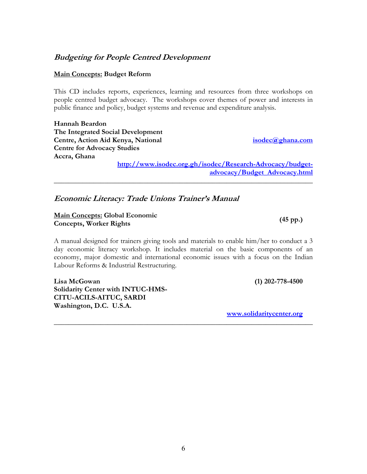## **Budgeting for People Centred Development**

## **Main Concepts: Budget Reform**

This CD includes reports, experiences, learning and resources from three workshops on people centred budget advocacy. The workshops cover themes of power and interests in public finance and policy, budget systems and revenue and expenditure analysis.

**Hannah Beardon The Integrated Social Development Centre, Action Aid Kenya, National Centre for Advocacy Studies isodec@ghana.com Accra, Ghana http://www.isodec.org.gh/isodec/Research-Advocacy/budgetadvocacy/Budget\_Advocacy.html**

\_\_\_\_\_\_\_\_\_\_\_\_\_\_\_\_\_\_\_\_\_\_\_\_\_\_\_\_\_\_\_\_\_\_\_\_\_\_\_\_\_\_\_\_\_\_\_\_\_\_\_\_\_\_\_\_\_\_\_\_\_\_\_\_\_\_\_\_\_\_\_\_

## **Economic Literacy: Trade Unions Trainer's Manual**

**Main Concepts: Global Economic Concepts, Worker Rights (45 pp.)**

A manual designed for trainers giving tools and materials to enable him/her to conduct a 3 day economic literacy workshop. It includes material on the basic components of an economy, major domestic and international economic issues with a focus on the Indian Labour Reforms & Industrial Restructuring.

\_\_\_\_\_\_\_\_\_\_\_\_\_\_\_\_\_\_\_\_\_\_\_\_\_\_\_\_\_\_\_\_\_\_\_\_\_\_\_\_\_\_\_\_\_\_\_\_\_\_\_\_\_\_\_\_\_\_\_\_\_\_\_\_\_\_\_\_\_\_\_\_

**Lisa McGowan (1) 202-778-4500 Solidarity Center with INTUC-HMS-CITU-ACILS-AITUC, SARDI Washington, D.C. U.S.A.** 

**www.solidaritycenter.org**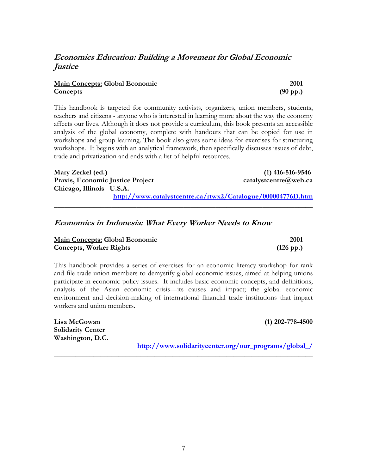## **Economics Education: Building a Movement for Global Economic Justice**

#### **Main Concepts: Global Economic Concepts**

This handbook is targeted for community activists, organizers, union members, students, teachers and citizens - anyone who is interested in learning more about the way the economy affects our lives. Although it does not provide a curriculum, this book presents an accessible analysis of the global economy, complete with handouts that can be copied for use in workshops and group learning. The book also gives some ideas for exercises for structuring workshops. It begins with an analytical framework, then specifically discusses issues of debt, trade and privatization and ends with a list of helpful resources.

**Mary Zerkel (ed.) (1) 416-516-9546**  Praxis, Economic Justice Project catalystcentre@web.ca **Chicago, Illinois U.S.A. http://www.catalystcentre.ca/rtwx2/Catalogue/000004776D.htm**

**\_\_\_\_\_\_\_\_\_\_\_\_\_\_\_\_\_\_\_\_\_\_\_\_\_\_\_\_\_\_\_\_\_\_\_\_\_\_\_\_\_\_\_\_\_\_\_\_\_\_\_\_\_\_\_\_\_\_\_\_\_\_\_\_\_\_\_\_\_\_\_\_**

## **Economics in Indonesia: What Every Worker Needs to Know**

| <b>Main Concepts: Global Economic</b> | 2001                |
|---------------------------------------|---------------------|
| <b>Concepts, Worker Rights</b>        | $(126 \text{ pp.})$ |

This handbook provides a series of exercises for an economic literacy workshop for rank and file trade union members to demystify global economic issues, aimed at helping unions participate in economic policy issues. It includes basic economic concepts, and definitions; analysis of the Asian economic crisis—its causes and impact; the global economic environment and decision-making of international financial trade institutions that impact workers and union members.

\_\_\_\_\_\_\_\_\_\_\_\_\_\_\_\_\_\_\_\_\_\_\_\_\_\_\_\_\_\_\_\_\_\_\_\_\_\_\_\_\_\_\_\_\_\_\_\_\_\_\_\_\_\_\_\_\_\_\_\_\_\_\_\_\_\_\_\_\_\_\_\_

**Lisa McGowan (1) 202-778-4500 Solidarity Center Washington, D.C.** 

**http://www.solidaritycenter.org/our\_programs/global\_/**

**2001 (90 pp.)**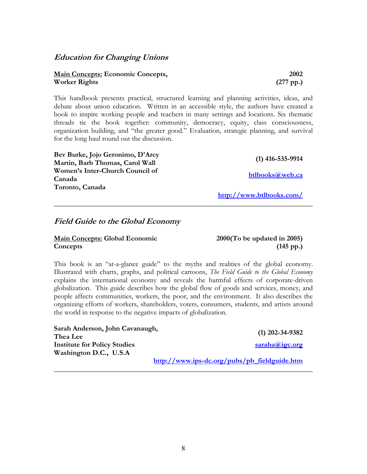#### **Education for Changing Unions**

#### **Main Concepts: Economic Concepts, Worker Rights**

This handbook presents practical, structured learning and planning activities, ideas, and debate about union education. Written in an accessible style, the authors have created a book to inspire working people and teachers in many settings and locations. Six thematic threads tie the book together: community, democracy, equity, class consciousness, organization building, and "the greater good." Evaluation, strategic planning, and survival for the long haul round out the discussion.

**Bev Burke, Jojo Geronimo, D'Arcy Martin, Barb Thomas, Carol Wall (1) 416-535-9914 Women's Inter-Church Council of Canada btlbooks@web.ca Toronto, Canada** 

#### **Field Guide to the Global Economy**

| <b>Main Concepts: Global Economic</b> | $2000$ (To be updated in 2005) |
|---------------------------------------|--------------------------------|
| Concepts                              | $(145 \text{ pp.})$            |

\_\_\_\_\_\_\_\_\_\_\_\_\_\_\_\_\_\_\_\_\_\_\_\_\_\_\_\_\_\_\_\_\_\_\_\_\_\_\_\_\_\_\_\_\_\_\_\_\_\_\_\_\_\_\_\_\_\_\_\_\_\_\_\_\_\_\_\_\_\_\_\_

This book is an "at-a-glance guide" to the myths and realities of the global economy. Illustrated with charts, graphs, and political cartoons, *The Field Guide to the Global Economy* explains the international economy and reveals the harmful effects of corporate-driven globalization. This guide describes how the global flow of goods and services, money, and people affects communities, workers, the poor, and the environment. It also describes the organizing efforts of workers, shareholders, voters, consumers, students, and artists around the world in response to the negative impacts of globalization.

| Sarah Anderson, John Cavanaugh,     |                                              |
|-------------------------------------|----------------------------------------------|
| <b>Thea Lee</b>                     | $(1)$ 202-34-9382                            |
| <b>Institute for Policy Studies</b> | saraha@iec.org                               |
| Washington D.C., U.S.A              |                                              |
|                                     | http://www.ips-dc.org/pubs/pb_fieldguide.htm |

\_\_\_\_\_\_\_\_\_\_\_\_\_\_\_\_\_\_\_\_\_\_\_\_\_\_\_\_\_\_\_\_\_\_\_\_\_\_\_\_\_\_\_\_\_\_\_\_\_\_\_\_\_\_\_\_\_\_\_\_\_\_\_\_\_\_\_\_\_\_\_\_

**2002 (277 pp.)**

**http://www.btlbooks.com/**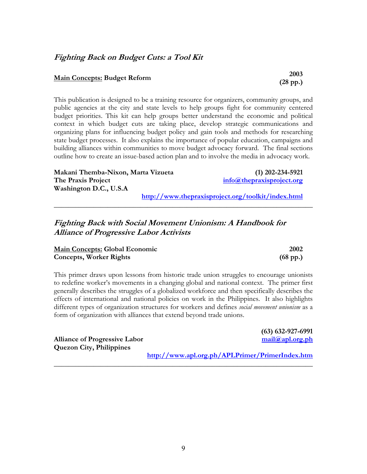## **Fighting Back on Budget Cuts: a Tool Kit**

# **Main Concepts: Budget Reform <sup>2003</sup>**

This publication is designed to be a training resource for organizers, community groups, and public agencies at the city and state levels to help groups fight for community centered budget priorities. This kit can help groups better understand the economic and political context in which budget cuts are taking place, develop strategic communications and organizing plans for influencing budget policy and gain tools and methods for researching state budget processes. It also explains the importance of popular education, campaigns and building alliances within communities to move budget advocacy forward. The final sections outline how to create an issue-based action plan and to involve the media in advocacy work.

| Makani Themba-Nixon, Marta Vizueta | $(1)$ 202-234-5921                                 |
|------------------------------------|----------------------------------------------------|
| The Praxis Project                 | info@thepraxisproject.org                          |
| Washington D.C., U.S.A             |                                                    |
|                                    | http://www.thepraxisproject.org/toolkit/index.html |

\_\_\_\_\_\_\_\_\_\_\_\_\_\_\_\_\_\_\_\_\_\_\_\_\_\_\_\_\_\_\_\_\_\_\_\_\_\_\_\_\_\_\_\_\_\_\_\_\_\_\_\_\_\_\_\_\_\_\_\_\_\_\_\_\_\_\_\_\_\_\_\_

## **Fighting Back with Social Movement Unionism: A Handbook for Alliance of Progressive Labor Activists**

| <b>Main Concepts: Global Economic</b> | 2002               |
|---------------------------------------|--------------------|
| <b>Concepts, Worker Rights</b>        | $(68 \text{ pp.})$ |

This primer draws upon lessons from historic trade union struggles to encourage unionists to redefine worker's movements in a changing global and national context. The primer first generally describes the struggles of a globalized workforce and then specifically describes the effects of international and national policies on work in the Philippines. It also highlights different types of organization structures for workers and defines *social movement unionism* as a form of organization with alliances that extend beyond trade unions.

\_\_\_\_\_\_\_\_\_\_\_\_\_\_\_\_\_\_\_\_\_\_\_\_\_\_\_\_\_\_\_\_\_\_\_\_\_\_\_\_\_\_\_\_\_\_\_\_\_\_\_\_\_\_\_\_\_\_\_\_\_\_\_\_\_\_\_\_\_\_\_\_

**Alliance of Progressive Labor mail@apl.org.ph Quezon City, Philippines** 

**http://www.apl.org.ph/APLPrimer/PrimerIndex.htm**

9

**(28 pp.)**

 **(63) 632-927-6991**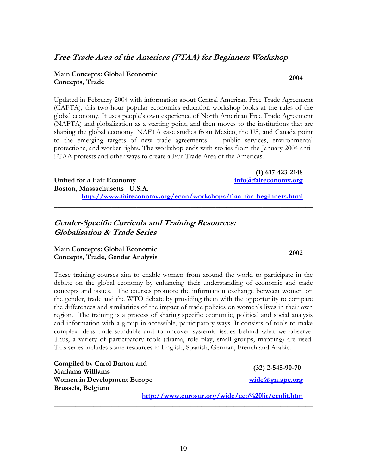## **Free Trade Area of the Americas (FTAA) for Beginners Workshop**

#### **Main Concepts: Global Economic Concepts, Trade 2004**<br> **Concepts, Trade**

Updated in February 2004 with information about Central American Free Trade Agreement (CAFTA), this two-hour popular economics education workshop looks at the rules of the global economy. It uses people's own experience of North American Free Trade Agreement (NAFTA) and globalization as a starting point, and then moves to the institutions that are shaping the global economy. NAFTA case studies from Mexico, the US, and Canada point to the emerging targets of new trade agreements — public services, environmental protections, and worker rights. The workshop ends with stories from the January 2004 anti-FTAA protests and other ways to create a Fair Trade Area of the Americas.

 **(1) 617-423-2148** United for a Fair Economy **info@faireconomy.org Boston, Massachusetts U.S.A.** 

**http://www.faireconomy.org/econ/workshops/ftaa\_for\_beginners.html** *\_\_\_\_\_\_\_\_\_\_\_\_\_\_\_\_\_\_\_\_\_\_\_\_\_\_\_\_\_\_\_\_\_\_\_\_\_\_\_\_\_\_\_\_\_\_\_\_\_\_\_\_\_\_\_\_\_\_\_\_\_\_\_\_\_\_\_\_\_\_\_\_*

## **Gender-Specific Curricula and Training Resources: Globalisation & Trade Series**

#### **Main Concepts: Global Economic Concepts, Trade, Gender Analysis <sup>2002</sup>**

These training courses aim to enable women from around the world to participate in the debate on the global economy by enhancing their understanding of economic and trade concepts and issues. The courses promote the information exchange between women on the gender, trade and the WTO debate by providing them with the opportunity to compare the differences and similarities of the impact of trade policies on women's lives in their own region. The training is a process of sharing specific economic, political and social analysis and information with a group in accessible, participatory ways. It consists of tools to make complex ideas understandable and to uncover systemic issues behind what we observe. Thus, a variety of participatory tools (drama, role play, small groups, mapping) are used. This series includes some resources in English, Spanish, German, French and Arabic.

| Compiled by Carol Barton and |                                                  |
|------------------------------|--------------------------------------------------|
| Mariama Williams             | $(32)$ 2-545-90-70                               |
| Women in Development Europe  | wide@gen. apc. or g                              |
| Brussels, Belgium            |                                                  |
|                              | http://www.eurosur.org/wide/eco%20lit/ecolit.htm |

 $\_$  , and the set of the set of the set of the set of the set of the set of the set of the set of the set of the set of the set of the set of the set of the set of the set of the set of the set of the set of the set of th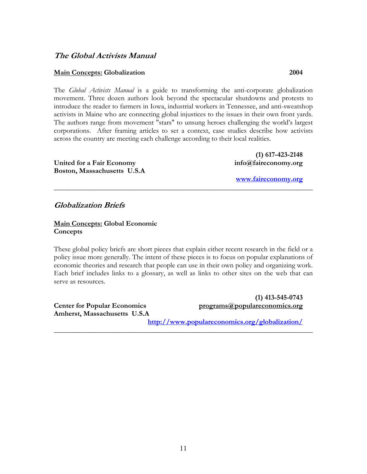## **The Global Activists Manual**

#### **Main Concepts: Globalization 2004**

The *Global Activists Manual* is a guide to transforming the anti-corporate globalization movement. Three dozen authors look beyond the spectacular shutdowns and protests to introduce the reader to farmers in Iowa, industrial workers in Tennessee, and anti-sweatshop activists in Maine who are connecting global injustices to the issues in their own front yards. The authors range from movement "stars" to unsung heroes challenging the world's largest corporations. After framing articles to set a context, case studies describe how activists across the country are meeting each challenge according to their local realities.

\_\_\_\_\_\_\_\_\_\_\_\_\_\_\_\_\_\_\_\_\_\_\_\_\_\_\_\_\_\_\_\_\_\_\_\_\_\_\_\_\_\_\_\_\_\_\_\_\_\_\_\_\_\_\_\_\_\_\_\_\_\_\_\_\_\_\_\_\_\_\_\_

United for a Fair Economy **info@faireconomy.org Boston, Massachusetts U.S.A** 

 **(1) 617-423-2148**

**www.faireconomy.org**

#### **Globalization Briefs**

#### **Main Concepts: Global Economic Concepts**

These global policy briefs are short pieces that explain either recent research in the field or a policy issue more generally. The intent of these pieces is to focus on popular explanations of economic theories and research that people can use in their own policy and organizing work. Each brief includes links to a glossary, as well as links to other sites on the web that can serve as resources.

**Center for Popular Economics** programs (appopulare conomics.org **Amherst, Massachusetts U.S.A http://www.populareconomics.org/globalization/**

\_\_\_\_\_\_\_\_\_\_\_\_\_\_\_\_\_\_\_\_\_\_\_\_\_\_\_\_\_\_\_\_\_\_\_\_\_\_\_\_\_\_\_\_\_\_\_\_\_\_\_\_\_\_\_\_\_\_\_\_\_\_\_\_\_\_\_\_\_\_\_\_

 **(1) 413-545-0743**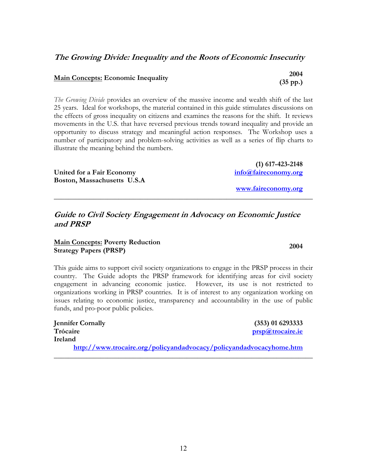## **The Growing Divide: Inequality and the Roots of Economic Insecurity**

# **Main Concepts: Economic Inequality <sup>2004</sup>**

*The Growing Divide* provides an overview of the massive income and wealth shift of the last 25 years. Ideal for workshops, the material contained in this guide stimulates discussions on the effects of gross inequality on citizens and examines the reasons for the shift. It reviews movements in the U.S. that have reversed previous trends toward inequality and provide an opportunity to discuss strategy and meaningful action responses. The Workshop uses a number of participatory and problem-solving activities as well as a series of flip charts to illustrate the meaning behind the numbers.

|                             | $(1)$ 617-423-2148   |
|-----------------------------|----------------------|
| United for a Fair Economy   | info@faireconomy.org |
| Boston, Massachusetts U.S.A |                      |
|                             | www.faireconomy.org  |

\_\_\_\_\_\_\_\_\_\_\_\_\_\_\_\_\_\_\_\_\_\_\_\_\_\_\_\_\_\_\_\_\_\_\_\_\_\_\_\_\_\_\_\_\_\_\_\_\_\_\_\_\_\_\_\_\_\_\_\_\_\_\_\_\_\_\_\_\_\_\_\_

## **Guide to Civil Society Engagement in Advocacy on Economic Justice and PRSP**

#### **Main Concepts: Poverty Reduction Strategy Papers (PRSP) <sup>2004</sup>**

This guide aims to support civil society organizations to engage in the PRSP process in their country. The Guide adopts the PRSP framework for identifying areas for civil society engagement in advancing economic justice. However, its use is not restricted to organizations working in PRSP countries. It is of interest to any organization working on issues relating to economic justice, transparency and accountability in the use of public funds, and pro-poor public policies.

**Jennifer Cornally (353) 01 6293333 Trócaire** pressure pressure pressure pressure pressure pressure pressure pressure pressure in the pressure of the pressure of the pressure of the pressure of the pressure of the pressure of the pressure of the pressure of **Ireland http://www.trocaire.org/policyandadvocacy/policyandadvocacyhome.htm**

\_\_\_\_\_\_\_\_\_\_\_\_\_\_\_\_\_\_\_\_\_\_\_\_\_\_\_\_\_\_\_\_\_\_\_\_\_\_\_\_\_\_\_\_\_\_\_\_\_\_\_\_\_\_\_\_\_\_\_\_\_\_\_\_\_\_\_\_\_\_\_\_

**(35 pp.)**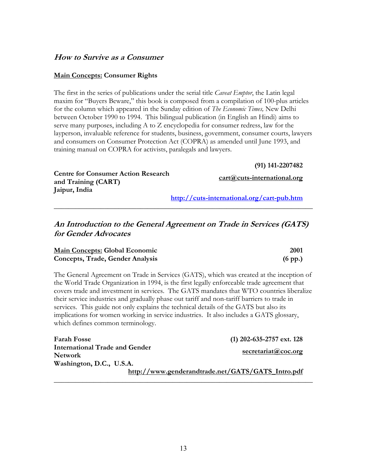## **How to Survive as a Consumer**

#### **Main Concepts: Consumer Rights**

The first in the series of publications under the serial title *Caveat Emptor*, the Latin legal maxim for "Buyers Beware," this book is composed from a compilation of 100-plus articles for the column which appeared in the Sunday edition of *The Economic Times,* New Delhi between October 1990 to 1994. This bilingual publication (in English an Hindi) aims to serve many purposes, including A to Z encyclopedia for consumer redress, law for the layperson, invaluable reference for students, business, government, consumer courts, lawyers and consumers on Consumer Protection Act (COPRA) as amended until June 1993, and training manual on COPRA for activists, paralegals and lawyers.

#### **(91) 141-2207482**

| <b>Centre for Consumer Action Research</b><br>and Training (CART) | $cart@cuts-international.org$              |
|-------------------------------------------------------------------|--------------------------------------------|
| Jaipur, India                                                     |                                            |
|                                                                   | http://cuts-international.org/cart-pub.htm |

## **An Introduction to the General Agreement on Trade in Services (GATS) for Gender Advocates**

**\_\_\_\_\_\_\_\_\_\_\_\_\_\_\_\_\_\_\_\_\_\_\_\_\_\_\_\_\_\_\_\_\_\_\_\_\_\_\_\_\_\_\_\_\_\_\_\_\_\_\_\_\_\_\_\_\_\_\_\_\_\_\_\_\_\_\_\_\_\_\_\_** 

| <b>Main Concepts: Global Economic</b> | 2001              |
|---------------------------------------|-------------------|
| Concepts, Trade, Gender Analysis      | $(6 \text{ pp.})$ |

The General Agreement on Trade in Services (GATS), which was created at the inception of the World Trade Organization in 1994, is the first legally enforceable trade agreement that covers trade and investment in services. The GATS mandates that WTO countries liberalize their service industries and gradually phase out tariff and non-tariff barriers to trade in services. This guide not only explains the technical details of the GATS but also its implications for women working in service industries. It also includes a GATS glossary, which defines common terminology.

| <b>Farah Fosse</b>                    | $(1)$ 202-635-2757 ext. 128                              |
|---------------------------------------|----------------------------------------------------------|
| <b>International Trade and Gender</b> | $\frac{\text{secretariat}(\widehat{a})\text{coc.org}}{}$ |
| Network                               |                                                          |
| Washington, D.C., U.S.A.              |                                                          |
|                                       | http://www.genderandtrade.net/GATS/GATS Intro.pdf        |

\_\_\_\_\_\_\_\_\_\_\_\_\_\_\_\_\_\_\_\_\_\_\_\_\_\_\_\_\_\_\_\_\_\_\_\_\_\_\_\_\_\_\_\_\_\_\_\_\_\_\_\_\_\_\_\_\_\_\_\_\_\_\_\_\_\_\_\_\_\_\_\_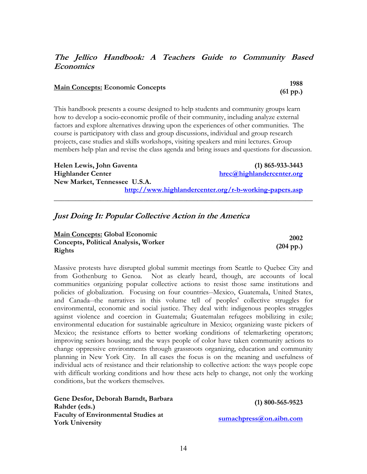## **The Jellico Handbook: A Teachers Guide to Community Based Economics**

**(61 pp.)**

# **Main Concepts: Economic Concepts <sup>1988</sup>**

This handbook presents a course designed to help students and community groups learn how to develop a socio-economic profile of their community, including analyze external factors and explore alternatives drawing upon the experiences of other communities. The course is participatory with class and group discussions, individual and group research projects, case studies and skills workshops, visiting speakers and mini lectures. Group members help plan and revise the class agenda and bring issues and questions for discussion.

| Helen Lewis, John Gaventa                              | $(1)$ 865-933-3443        |
|--------------------------------------------------------|---------------------------|
| <b>Highlander Center</b>                               | hrec@highlandercenter.org |
| New Market, Tennessee U.S.A.                           |                           |
| http://www.highlandercenter.org/r-b-working-papers.asp |                           |
|                                                        |                           |

## **Just Doing It: Popular Collective Action in the America**

| <b>Main Concepts: Global Economic</b>       | 2002                |
|---------------------------------------------|---------------------|
| <b>Concepts, Political Analysis, Worker</b> |                     |
| Rights                                      | $(204 \text{ pp.})$ |

Massive protests have disrupted global summit meetings from Seattle to Quebec City and from Gothenburg to Genoa. Not as clearly heard, though, are accounts of local communities organizing popular collective actions to resist those same institutions and policies of globalization. Focusing on four countries--Mexico, Guatemala, United States, and Canada--the narratives in this volume tell of peoples' collective struggles for environmental, economic and social justice. They deal with: indigenous peoples struggles against violence and coercion in Guatemala; Guatemalan refugees mobilizing in exile; environmental education for sustainable agriculture in Mexico; organizing waste pickers of Mexico; the resistance efforts to better working conditions of telemarketing operators; improving seniors housing; and the ways people of color have taken community actions to change oppressive environments through grassroots organizing, education and community planning in New York City. In all cases the focus is on the meaning and usefulness of individual acts of resistance and their relationship to collective action: the ways people cope with difficult working conditions and how these acts help to change, not only the working conditions, but the workers themselves.

| Gene Desfor, Deborah Barndt, Barbara       | $(1)$ 800-565-9523      |
|--------------------------------------------|-------------------------|
| Rahder (eds.)                              |                         |
| <b>Faculty of Environmental Studies at</b> |                         |
| <b>York University</b>                     | sumachpress@on.aibn.com |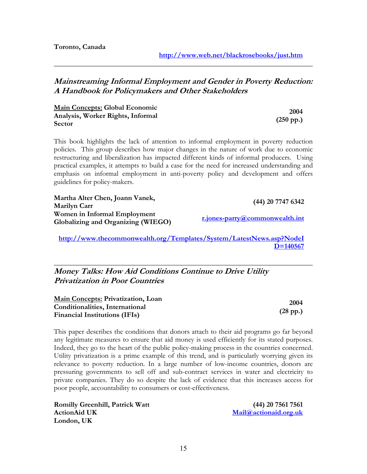## **Mainstreaming Informal Employment and Gender in Poverty Reduction: A Handbook for Policymakers and Other Stakeholders**

| <b>Main Concepts: Global Economic</b> | 2004                |
|---------------------------------------|---------------------|
| Analysis, Worker Rights, Informal     |                     |
| <b>Sector</b>                         | $(250 \text{ pp.})$ |

This book highlights the lack of attention to informal employment in poverty reduction policies. This group describes how major changes in the nature of work due to economic restructuring and liberalization has impacted different kinds of informal producers. Using practical examples, it attempts to build a case for the need for increased understanding and emphasis on informal employment in anti-poverty policy and development and offers guidelines for policy-makers.

**Martha Alter Chen, Joann Vanek, Marilyn Carr (44) 20 7747 6342 Women in Informal Employment Globalizing and Organizing (WIEGO) r.jones-parry@commonwealth.int**

**http://www.thecommonwealth.org/Templates/System/LatestNews.asp?NodeI D=140567**

 $\_$  , and the set of the set of the set of the set of the set of the set of the set of the set of the set of the set of the set of the set of the set of the set of the set of the set of the set of the set of the set of th **Money Talks: How Aid Conditions Continue to Drive Utility Privatization in Poor Countries** 

| <b>Main Concepts: Privatization, Loan</b> | 2004               |
|-------------------------------------------|--------------------|
| Conditionalities, International           |                    |
| <b>Financial Institutions (IFIs)</b>      | $(28 \text{ pp.})$ |

This paper describes the conditions that donors attach to their aid programs go far beyond any legitimate measures to ensure that aid money is used efficiently for its stated purposes. Indeed, they go to the heart of the public policy-making process in the countries concerned. Utility privatization is a prime example of this trend, and is particularly worrying given its relevance to poverty reduction. In a large number of low-income countries, donors are pressuring governments to sell off and sub-contract services in water and electricity to private companies. They do so despite the lack of evidence that this increases access for poor people, accountability to consumers or cost-effectiveness.

**Romilly Greenhill, Patrick Watt (44) 20 7561 7561 ActionAid UK** Mail@actionaid.org.uk **London, UK**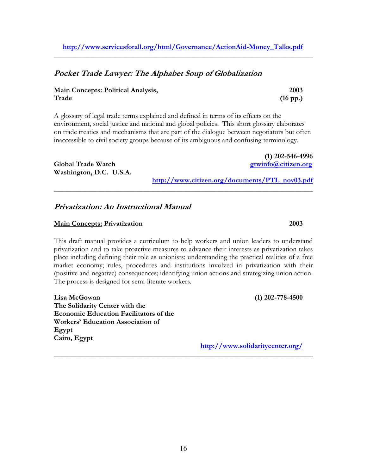## **http://www.servicesforall.org/html/Governance/ActionAid-Money\_Talks.pdf** \_\_\_\_\_\_\_\_\_\_\_\_\_\_\_\_\_\_\_\_\_\_\_\_\_\_\_\_\_\_\_\_\_\_\_\_\_\_\_\_\_\_\_\_\_\_\_\_\_\_\_\_\_\_\_\_\_\_\_\_\_\_\_\_\_\_\_\_\_\_\_\_

## **Pocket Trade Lawyer: The Alphabet Soup of Globalization**

| <b>Main Concepts: Political Analysis,</b> | 2003               |
|-------------------------------------------|--------------------|
| Trade                                     | $(16 \text{ pp.})$ |

A glossary of legal trade terms explained and defined in terms of its effects on the environment, social justice and national and global policies. This short glossary elaborates on trade treaties and mechanisms that are part of the dialogue between negotiators but often inaccessible to civil society groups because of its ambiguous and confusing terminology.

**\_\_\_\_\_\_\_\_\_\_\_\_\_\_\_\_\_\_\_\_\_\_\_\_\_\_\_\_\_\_\_\_\_\_\_\_\_\_\_\_\_\_\_\_\_\_\_\_\_\_\_\_\_\_\_\_\_\_\_\_\_\_\_\_\_\_\_\_\_\_\_\_**

**Global Trade Watch gtwinfo@citizen.org Washington, D.C. U.S.A.** 

#### **Main Concepts: Privatization 2003**

**Privatization: An Instructional Manual**

This draft manual provides a curriculum to help workers and union leaders to understand privatization and to take proactive measures to advance their interests as privatization takes place including defining their role as unionists; understanding the practical realities of a free market economy; rules, procedures and institutions involved in privatization with their (positive and negative) consequences; identifying union actions and strategizing union action. The process is designed for semi-literate workers.

\_\_\_\_\_\_\_\_\_\_\_\_\_\_\_\_\_\_\_\_\_\_\_\_\_\_\_\_\_\_\_\_\_\_\_\_\_\_\_\_\_\_\_\_\_\_\_\_\_\_\_\_\_\_\_\_\_\_\_\_\_\_\_\_\_\_\_\_\_\_\_\_

**Lisa McGowan (1) 202-778-4500 The Solidarity Center with the Economic Education Facilitators of the Workers' Education Association of Egypt Cairo, Egypt** 

**http://www.solidaritycenter.org/**

**http://www.citizen.org/documents/PTL\_nov03.pdf**

 **(1) 202-546-4996**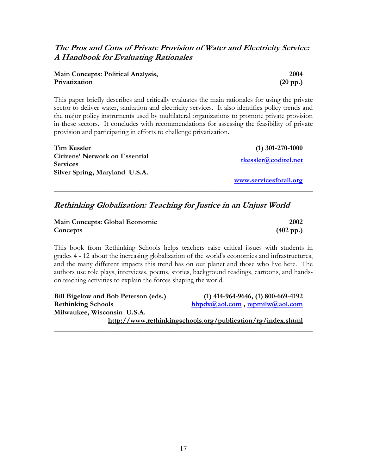## **The Pros and Cons of Private Provision of Water and Electricity Service: A Handbook for Evaluating Rationales**

| <b>Main Concepts: Political Analysis,</b> | 2004               |
|-------------------------------------------|--------------------|
| Privatization                             | $(20 \text{ pp.})$ |

This paper briefly describes and critically evaluates the main rationales for using the private sector to deliver water, sanitation and electricity services. It also identifies policy trends and the major policy instruments used by multilateral organizations to promote private provision in these sectors. It concludes with recommendations for assessing the feasibility of private provision and participating in efforts to challenge privatization.

| Tim Kessler                                       | $(1)$ 301-270-1000     |
|---------------------------------------------------|------------------------|
| Citizens' Network on Essential<br><b>Services</b> | tkessler@coditel.net   |
| Silver Spring, Maryland U.S.A.                    |                        |
|                                                   | www.servicesforall.org |

\_\_\_\_\_\_\_\_\_\_\_\_\_\_\_\_\_\_\_\_\_\_\_\_\_\_\_\_\_\_\_\_\_\_\_\_\_\_\_\_\_\_\_\_\_\_\_\_\_\_\_\_\_\_\_\_\_\_\_\_\_\_\_\_\_\_\_\_\_\_\_\_

## **Rethinking Globalization: Teaching for Justice in an Unjust World**

| <b>Main Concepts: Global Economic</b> | 2002                |
|---------------------------------------|---------------------|
| Concepts                              | $(402 \text{ pp.})$ |

This book from Rethinking Schools helps teachers raise critical issues with students in grades 4 - 12 about the increasing globalization of the world's economies and infrastructures, and the many different impacts this trend has on our planet and those who live here. The authors use role plays, interviews, poems, stories, background readings, cartoons, and handson teaching activities to explain the forces shaping the world.

| Bill Bigelow and Bob Peterson (eds.)                        | $(1)$ 414-964-9646, $(1)$ 800-669-4192 |  |
|-------------------------------------------------------------|----------------------------------------|--|
| <b>Rethinking Schools</b>                                   | bbpdx@aol.com, repmilw@aol.com         |  |
| Milwaukee, Wisconsin U.S.A.                                 |                                        |  |
| http://www.rethinkingschools.org/publication/rg/index.shtml |                                        |  |
|                                                             |                                        |  |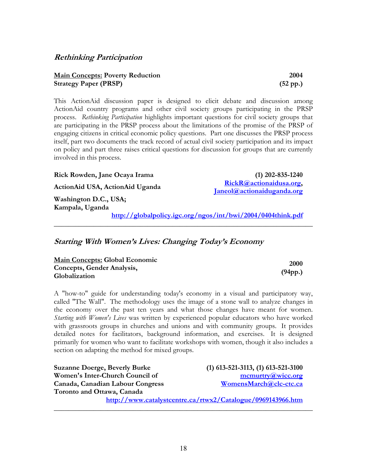## **Rethinking Participation**

#### **Main Concepts: Poverty Reduction Strategy Paper (PRSP)**

This ActionAid discussion paper is designed to elicit debate and discussion among ActionAid country programs and other civil society groups participating in the PRSP process. *Rethinking Participation* highlights important questions for civil society groups that are participating in the PRSP process about the limitations of the promise of the PRSP of engaging citizens in critical economic policy questions. Part one discusses the PRSP process itself, part two documents the track record of actual civil society participation and its impact on policy and part three raises critical questions for discussion for groups that are currently involved in this process.

| Rick Rowden, Jane Ocaya Irama   | $(1)$ 202-835-1240                                          |
|---------------------------------|-------------------------------------------------------------|
| ActionAid USA, ActionAid Uganda | RickR@actionaidusa.org,<br>Janeol@actionaiduganda.org       |
| Washington D.C., USA;           |                                                             |
| Kampala, Uganda                 |                                                             |
|                                 | http://globalpolicy.igc.org/ngos/int/bwi/2004/0404think.pdf |

\_\_\_\_\_\_\_\_\_\_\_\_\_\_\_\_\_\_\_\_\_\_\_\_\_\_\_\_\_\_\_\_\_\_\_\_\_\_\_\_\_\_\_\_\_\_\_\_\_\_\_\_\_\_\_\_\_\_\_\_\_\_\_\_\_\_\_\_\_\_\_\_

## **Starting With Women's Lives: Changing Today's Economy**

| <b>Main Concepts: Global Economic</b> | 2000    |
|---------------------------------------|---------|
| <b>Concepts, Gender Analysis,</b>     |         |
| Globalization                         | (94pp.) |

A "how-to" guide for understanding today's economy in a visual and participatory way, called "The Wall". The methodology uses the image of a stone wall to analyze changes in the economy over the past ten years and what those changes have meant for women. *Starting with Women's Lives* was written by experienced popular educators who have worked with grassroots groups in churches and unions and with community groups. It provides detailed notes for facilitators, background information, and exercises. It is designed primarily for women who want to facilitate workshops with women, though it also includes a section on adapting the method for mixed groups.

| <b>Suzanne Doerge, Beverly Burke</b>                        | $(1)$ 613-521-3113, $(1)$ 613-521-3100 |  |
|-------------------------------------------------------------|----------------------------------------|--|
| Women's Inter-Church Council of                             | mcmurtry@wicc.org                      |  |
| Canada, Canadian Labour Congress                            | WomensMarch@clc-ctc.ca                 |  |
| Toronto and Ottawa, Canada                                  |                                        |  |
| http://www.catalystcentre.ca/rtwx2/Catalogue/0969143966.htm |                                        |  |
|                                                             |                                        |  |

**2004 (52 pp.)**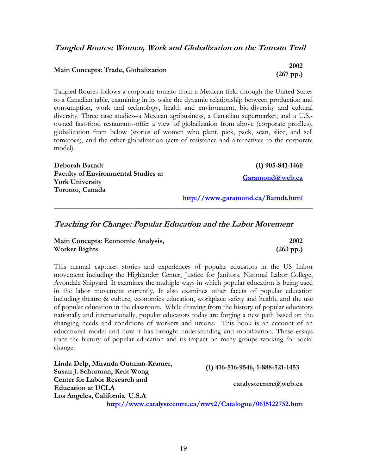## **Tangled Routes: Women, Work and Globalization on the Tomato Trail**

# **Main Concepts: Trade, Globalization <sup>2002</sup>**

Tangled Routes follows a corporate tomato from a Mexican field through the United States to a Canadian table, examining in its wake the dynamic relationship between production and consumption, work and technology, health and environment, bio-diversity and cultural diversity. Three case studies--a Mexican agribusiness, a Canadian supermarket, and a U.S. owned fast-food restaurant--offer a view of globalization from above (corporate profiles), globalization from below (stories of women who plant, pick, pack, scan, slice, and sell tomatoes), and the other globalization (acts of resistance and alternatives to the corporate model).

| Deborah Barndt                             | $(1)$ 905-841-1460                 |
|--------------------------------------------|------------------------------------|
| <b>Faculty of Environmental Studies at</b> |                                    |
| <b>York University</b>                     | Garamond@web.ca                    |
| Toronto, Canada                            |                                    |
|                                            | http://www.garamond.ca/Barndt.html |

\_\_\_\_\_\_\_\_\_\_\_\_\_\_\_\_\_\_\_\_\_\_\_\_\_\_\_\_\_\_\_\_\_\_\_\_\_\_\_\_\_\_\_\_\_\_\_\_\_\_\_\_\_\_\_\_\_\_\_\_\_\_\_\_\_\_\_\_\_\_\_\_

## **Teaching for Change: Popular Education and the Labor Movement**

| <b>Main Concepts: Economic Analysis,</b> | 2002                |
|------------------------------------------|---------------------|
| <b>Worker Rights</b>                     | $(263 \text{ pp.})$ |

This manual captures stories and experiences of popular educators in the US Labor movement including the Highlander Center, Justice for Janitors, National Labor College, Avondale Shipyard. It examines the multiple ways in which popular education is being used in the labor movement currently. It also examines other facets of popular education including theatre & culture, economics education, workplace safety and health, and the use of popular education in the classroom. While drawing from the history of popular educators nationally and internationally, popular educators today are forging a new path based on the changing needs and conditions of workers and unions. This book is an account of an educational model and how it has brought understanding and mobilization. These essays trace the history of popular education and its impact on many groups working for social change.

| Linda Delp, Miranda Outman-Kramer,   | $(1)$ 416-516-9546, 1-888-521-1453                          |
|--------------------------------------|-------------------------------------------------------------|
| Susan J. Schurman, Kent Wong         |                                                             |
| <b>Center for Labor Research and</b> |                                                             |
| <b>Education at UCLA</b>             | catalystcentre@web.ca                                       |
| Los Angeles, California U.S.A        |                                                             |
|                                      | http://www.catalystcentre.ca/rtwx2/Catalogue/0615122752.htm |

**(267 pp.)**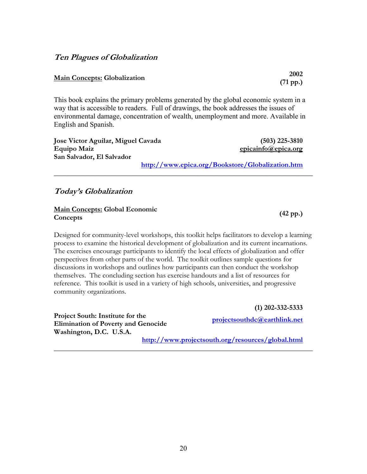**Ten Plagues of Globalization**

This book explains the primary problems generated by the global economic system in a way that is accessible to readers. Full of drawings, the book addresses the issues of environmental damage, concentration of wealth, unemployment and more. Available in English and Spanish.

| Jose Victor Aguilar, Miguel Cavada | $(503)$ 225-3810                                 |
|------------------------------------|--------------------------------------------------|
| Equipo Maiz                        | epicainfo@epica.org                              |
| San Salvador, El Salvador          |                                                  |
|                                    | http://www.epica.org/Bookstore/Globalization.htm |
|                                    |                                                  |

#### **Today's Globalization**

#### **Main Concepts: Global Economic Concepts** contains **Contains Contains (42 pp.)** (42 pp.)

Designed for community-level workshops, this toolkit helps facilitators to develop a learning process to examine the historical development of globalization and its current incarnations. The exercises encourage participants to identify the local effects of globalization and offer perspectives from other parts of the world. The toolkit outlines sample questions for discussions in workshops and outlines how participants can then conduct the workshop themselves. The concluding section has exercise handouts and a list of resources for reference. This toolkit is used in a variety of high schools, universities, and progressive community organizations.

**\_\_\_\_\_\_\_\_\_\_\_\_\_\_\_\_\_\_\_\_\_\_\_\_\_\_\_\_\_\_\_\_\_\_\_\_\_\_\_\_\_\_\_\_\_\_\_\_\_\_\_\_\_\_\_\_\_\_\_\_\_\_\_\_\_\_\_\_\_\_\_\_** 

**Project South: Institute for the Elimination of Poverty and Genocide projectsouthdc@earthlink.net Washington, D.C. U.S.A.** 

**http://www.projectsouth.org/resources/global.html**

**(1) 202-332-5333** 

**Main Concepts: Globalization <sup>2002</sup> (71 pp.)**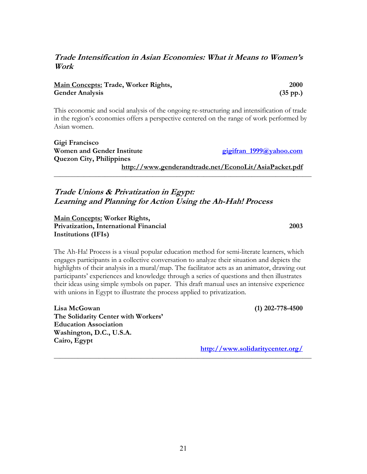## **Trade Intensification in Asian Economies: What it Means to Women's Work**

| Main Concepts: Trade, Worker Rights, |  |
|--------------------------------------|--|
| <b>Gender Analysis</b>               |  |

This economic and social analysis of the ongoing re-structuring and intensification of trade in the region's economies offers a perspective centered on the range of work performed by Asian women.

**Gigi Francisco Women and Gender Institute gigifran** 1999@yahoo.com **Quezon City, Philippines http://www.genderandtrade.net/EconoLit/AsiaPacket.pdf**

 $\mathcal{L}_\mathcal{L} = \{ \mathcal{L}_\mathcal{L} = \{ \mathcal{L}_\mathcal{L} = \{ \mathcal{L}_\mathcal{L} = \{ \mathcal{L}_\mathcal{L} = \{ \mathcal{L}_\mathcal{L} = \{ \mathcal{L}_\mathcal{L} = \{ \mathcal{L}_\mathcal{L} = \{ \mathcal{L}_\mathcal{L} = \{ \mathcal{L}_\mathcal{L} = \{ \mathcal{L}_\mathcal{L} = \{ \mathcal{L}_\mathcal{L} = \{ \mathcal{L}_\mathcal{L} = \{ \mathcal{L}_\mathcal{L} = \{ \mathcal{L}_\mathcal{$ 

## **Trade Unions & Privatization in Egypt: Learning and Planning for Action Using the Ah-Hah! Process**

**Main Concepts: Worker Rights, Privatization, International Financial Institutions (IFIs)** 

The Ah-Ha! Process is a visual popular education method for semi-literate learners, which engages participants in a collective conversation to analyze their situation and depicts the highlights of their analysis in a mural/map. The facilitator acts as an animator, drawing out participants' experiences and knowledge through a series of questions and then illustrates their ideas using simple symbols on paper. This draft manual uses an intensive experience with unions in Egypt to illustrate the process applied to privatization.

**Lisa McGowan (1) 202-778-4500 The Solidarity Center with Workers' Education Association Washington, D.C., U.S.A. Cairo, Egypt** 

**http://www.solidaritycenter.org/**

**2003**

**2000 (35 pp.)**

 $\mathcal{L}_\mathcal{L} = \{ \mathcal{L}_\mathcal{L} = \{ \mathcal{L}_\mathcal{L} = \{ \mathcal{L}_\mathcal{L} = \{ \mathcal{L}_\mathcal{L} = \{ \mathcal{L}_\mathcal{L} = \{ \mathcal{L}_\mathcal{L} = \{ \mathcal{L}_\mathcal{L} = \{ \mathcal{L}_\mathcal{L} = \{ \mathcal{L}_\mathcal{L} = \{ \mathcal{L}_\mathcal{L} = \{ \mathcal{L}_\mathcal{L} = \{ \mathcal{L}_\mathcal{L} = \{ \mathcal{L}_\mathcal{L} = \{ \mathcal{L}_\mathcal{$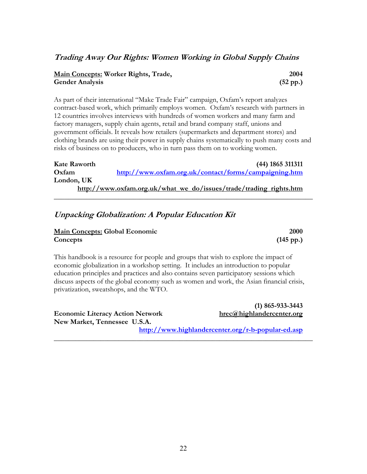## **Trading Away Our Rights: Women Working in Global Supply Chains**

| Main Concepts: Worker Rights, Trade, | 2004               |
|--------------------------------------|--------------------|
| <b>Gender Analysis</b>               | $(52 \text{ pp.})$ |

As part of their international "Make Trade Fair" campaign, Oxfam's report analyzes contract-based work, which primarily employs women. Oxfam's research with partners in 12 countries involves interviews with hundreds of women workers and many farm and factory managers, supply chain agents, retail and brand company staff, unions and government officials. It reveals how retailers (supermarkets and department stores) and clothing brands are using their power in supply chains systematically to push many costs and risks of business on to producers, who in turn pass them on to working women.

| Kate Raworth | $(44)$ 1865 311311                                                 |
|--------------|--------------------------------------------------------------------|
| Oxfam        | http://www.oxfam.org.uk/contact/forms/campaigning.htm              |
| London, UK   |                                                                    |
|              | http://www.oxfam.org.uk/what_we_do/issues/trade/trading_rights.htm |

*\_\_\_\_\_\_\_\_\_\_\_\_\_\_\_\_\_\_\_\_\_\_\_\_\_\_\_\_\_\_\_\_\_\_\_\_\_\_\_\_\_\_\_\_\_\_\_\_\_\_\_\_\_\_\_\_\_\_\_\_\_\_\_\_\_\_\_\_\_\_\_\_*

## **Unpacking Globalization: A Popular Education Kit**

| <b>Main Concepts: Global Economic</b> | <b>2000</b>         |
|---------------------------------------|---------------------|
| Concepts                              | $(145 \text{ pp.})$ |

This handbook is a resource for people and groups that wish to explore the impact of economic globalization in a workshop setting. It includes an introduction to popular education principles and practices and also contains seven participatory sessions which discuss aspects of the global economy such as women and work, the Asian financial crisis, privatization, sweatshops, and the WTO.

|                                         | (I) 00J-7JJ-J <del>11</del> J                      |
|-----------------------------------------|----------------------------------------------------|
| <b>Economic Literacy Action Network</b> | hrec@highlandercenter.org                          |
| New Market, Tennessee U.S.A.            |                                                    |
|                                         | http://www.highlandercenter.org/r-b-popular-ed.asp |

\_\_\_\_\_\_\_\_\_\_\_\_\_\_\_\_\_\_\_\_\_\_\_\_\_\_\_\_\_\_\_\_\_\_\_\_\_\_\_\_\_\_\_\_\_\_\_\_\_\_\_\_\_\_\_\_\_\_\_\_\_\_\_\_\_\_\_\_\_\_\_\_

 **(1) 865-933-3443**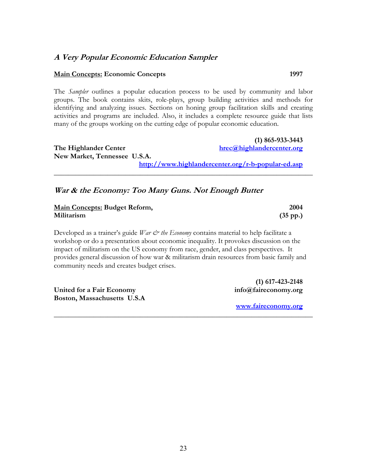## **A Very Popular Economic Education Sampler**

#### **Main Concepts: Economic Concepts 1997**

The *Sampler* outlines a popular education process to be used by community and labor groups. The book contains skits, role-plays, group building activities and methods for identifying and analyzing issues. Sections on honing group facilitation skills and creating activities and programs are included. Also, it includes a complete resource guide that lists many of the groups working on the cutting edge of popular economic education.

|                              | $(1)$ 865-933-3443                                 |
|------------------------------|----------------------------------------------------|
| The Highlander Center        | hrec@highlandercenter.org                          |
| New Market, Tennessee U.S.A. |                                                    |
|                              | http://www.highlandercenter.org/r-b-popular-ed.asp |
|                              |                                                    |

#### **War & the Economy: Too Many Guns. Not Enough Butter**

| <b>Main Concepts: Budget Reform,</b> | 2004               |
|--------------------------------------|--------------------|
| Militarism                           | $(35 \text{ pp.})$ |

Developed as a trainer's guide *War*  $\breve{c}$  *the Economy* contains material to help facilitate a workshop or do a presentation about economic inequality. It provokes discussion on the impact of militarism on the US economy from race, gender, and class perspectives. It provides general discussion of how war & militarism drain resources from basic family and community needs and creates budget crises.

\_\_\_\_\_\_\_\_\_\_\_\_\_\_\_\_\_\_\_\_\_\_\_\_\_\_\_\_\_\_\_\_\_\_\_\_\_\_\_\_\_\_\_\_\_\_\_\_\_\_\_\_\_\_\_\_\_\_\_\_\_\_\_\_\_\_\_\_\_\_\_\_

United for a Fair Economy info@faireconomy.org **Boston, Massachusetts U.S.A** 

 **(1) 617-423-2148**

**www.faireconomy.org**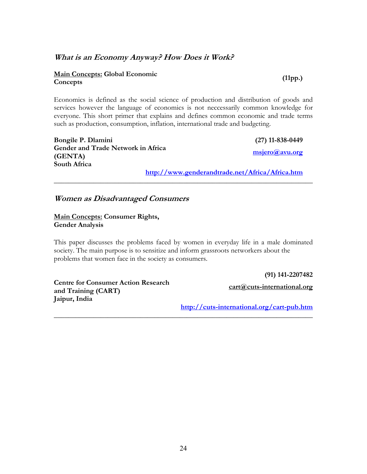### **What is an Economy Anyway? How Does it Work?**

#### **Main Concepts: Global Economic Concepts Concepts Contract Concepts** *(11pp.) Concepts*

Economics is defined as the social science of production and distribution of goods and services however the language of economics is not neccessarily common knowledge for everyone. This short primer that explains and defines common economic and trade terms such as production, consumption, inflation, international trade and budgeting.

**Bongile P. Dlamini (27) 11-838-0449 Gender and Trade Network in Africa (GENTA) msjero@avu.org South Africa** 

*\_\_\_\_\_\_\_\_\_\_\_\_\_\_\_\_\_\_\_\_\_\_\_\_\_\_\_\_\_\_\_\_\_\_\_\_\_\_\_\_\_\_\_\_\_\_\_\_\_\_\_\_\_\_\_\_\_\_\_\_\_\_\_\_\_\_\_\_\_\_\_\_*

**http://www.genderandtrade.net/Africa/Africa.htm**

#### **Women as Disadvantaged Consumers**

**Main Concepts: Consumer Rights, Gender Analysis**

This paper discusses the problems faced by women in everyday life in a male dominated society. The main purpose is to sensitize and inform grassroots networkers about the problems that women face in the society as consumers.

\_\_\_\_\_\_\_\_\_\_\_\_\_\_\_\_\_\_\_\_\_\_\_\_\_\_\_\_\_\_\_\_\_\_\_\_\_\_\_\_\_\_\_\_\_\_\_\_\_\_\_\_\_\_\_\_\_\_\_\_\_\_\_\_\_\_\_\_\_\_\_\_

 **(91) 141-2207482**

**http://cuts-international.org/cart-pub.htm**

**Centre for Consumer Action Research and Training (CART) cart@cuts-international.org Jaipur, India**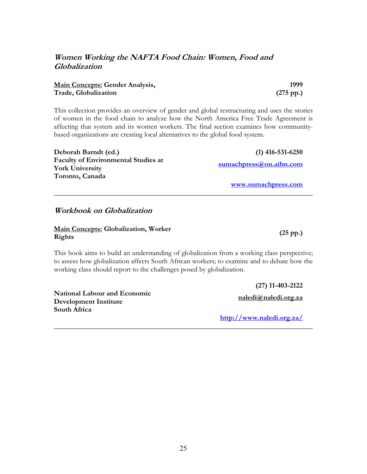## **Women Working the NAFTA Food Chain: Women, Food and Globalization**

| <b>Main Concepts: Gender Analysis,</b> | 1999                |
|----------------------------------------|---------------------|
| Trade, Globalization                   | $(275 \text{ pp.})$ |

This collection provides an overview of gender and global restructuring and uses the stories of women in the food chain to analyze how the North America Free Trade Agreement is affecting that system and its women workers. The final section examines how communitybased organizations are creating local alternatives to the global food system.

| Deborah Barndt (ed.)                                                 | $(1)$ 416-531-6250            |
|----------------------------------------------------------------------|-------------------------------|
| <b>Faculty of Environmental Studies at</b><br><b>York University</b> | sumachpress $(a)$ on.aibn.com |
| Toronto, Canada                                                      |                               |
|                                                                      | www.sumachpress.com           |

\_\_\_\_\_\_\_\_\_\_\_\_\_\_\_\_\_\_\_\_\_\_\_\_\_\_\_\_\_\_\_\_\_\_\_\_\_\_\_\_\_\_\_\_\_\_\_\_\_\_\_\_\_\_\_\_\_\_\_\_\_\_\_\_\_\_\_\_\_\_\_\_

## **Workbook on Globalization**

**Main Concepts: Globalization, Worker Rights (25 pp.)**

This book aims to build an understanding of globalization from a working class perspective; to assess how globalization affects South African workers; to examine and to debate how the working class should report to the challenges posed by globalization.

\_\_\_\_\_\_\_\_\_\_\_\_\_\_\_\_\_\_\_\_\_\_\_\_\_\_\_\_\_\_\_\_\_\_\_\_\_\_\_\_\_\_\_\_\_\_\_\_\_\_\_\_\_\_\_\_\_\_\_\_\_\_\_\_\_\_\_\_\_\_\_\_

**National Labour and Economic Development Institute naledi@naledi.org.za South Africa** 

**http://www.naledi.org.za/**

**(27) 11-403-2122**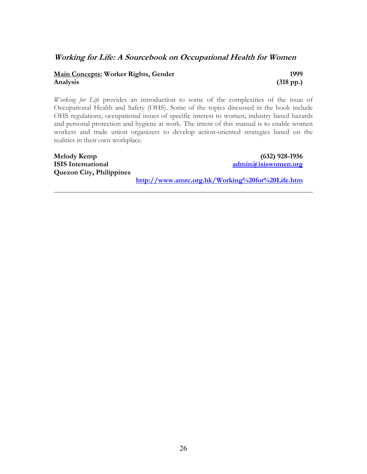## **Working for Life: A Sourcebook on Occupational Health for Women**

#### **Main Concepts: Worker Rights, Gender Analysis**

*Working for Life* provides an introduction to some of the complexities of the issue of Occupational Health and Safety (OHS). Some of the topics discussed in the book include OHS regulations, occupational issues of specific interest to women, industry based hazards and personal protection and hygiene at work. The intent of this manual is to enable women workers and trade union organizers to develop action-oriented strategies based on the realities in their own workplace.

**1999 (318 pp.)**

**Melody Kemp (632) 928-1956 ISIS International admin@isiswomen.org Quezon City, Philippines http://www.amrc.org.hk/Working%20for%20Life.htm**

 $\mathcal{L}_\text{max} = \mathcal{L}_\text{max} = \mathcal{L}_\text{max} = \mathcal{L}_\text{max} = \mathcal{L}_\text{max} = \mathcal{L}_\text{max} = \mathcal{L}_\text{max} = \mathcal{L}_\text{max} = \mathcal{L}_\text{max} = \mathcal{L}_\text{max} = \mathcal{L}_\text{max} = \mathcal{L}_\text{max} = \mathcal{L}_\text{max} = \mathcal{L}_\text{max} = \mathcal{L}_\text{max} = \mathcal{L}_\text{max} = \mathcal{L}_\text{max} = \mathcal{L}_\text{max} = \mathcal{$ 

26